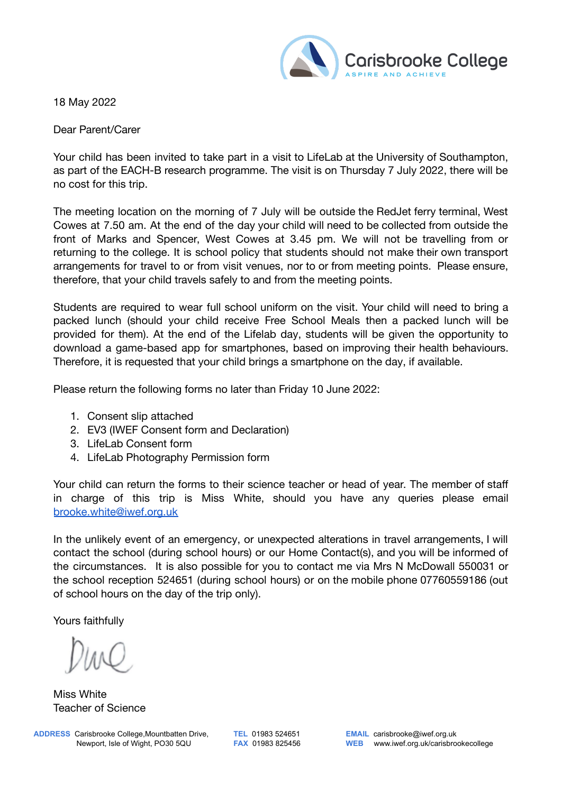

18 May 2022

Dear Parent/Carer

Your child has been invited to take part in a visit to LifeLab at the University of Southampton, as part of the EACH-B research programme. The visit is on Thursday 7 July 2022, there will be no cost for this trip.

The meeting location on the morning of 7 July will be outside the RedJet ferry terminal, West Cowes at 7.50 am. At the end of the day your child will need to be collected from outside the front of Marks and Spencer, West Cowes at 3.45 pm. We will not be travelling from or returning to the college. It is school policy that students should not make their own transport arrangements for travel to or from visit venues, nor to or from meeting points. Please ensure, therefore, that your child travels safely to and from the meeting points.

Students are required to wear full school uniform on the visit. Your child will need to bring a packed lunch (should your child receive Free School Meals then a packed lunch will be provided for them). At the end of the Lifelab day, students will be given the opportunity to download a game-based app for smartphones, based on improving their health behaviours. Therefore, it is requested that your child brings a smartphone on the day, if available.

Please return the following forms no later than Friday 10 June 2022:

- 1. Consent slip attached
- 2. EV3 (IWEF Consent form and Declaration)
- 3. LifeLab Consent form
- 4. LifeLab Photography Permission form

Your child can return the forms to their science teacher or head of year. The member of staff in charge of this trip is Miss White, should you have any queries please email [brooke.white@iwef.org.uk](mailto:brooke.white@iwef.org.uk)

In the unlikely event of an emergency, or unexpected alterations in travel arrangements, I will contact the school (during school hours) or our Home Contact(s), and you will be informed of the circumstances. It is also possible for you to contact me via Mrs N McDowall 550031 or the school reception 524651 (during school hours) or on the mobile phone 07760559186 (out of school hours on the day of the trip only).

Yours faithfully

Miss White Teacher of Science